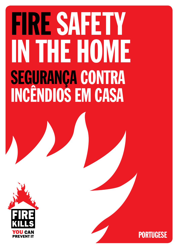# FIRE SAFETY IN THE HOME SEGURANÇA CONTRA INCÊNDIOS EM CASA



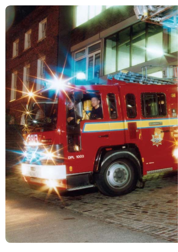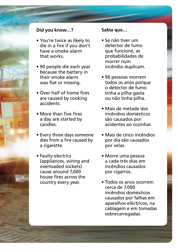#### **Did you know…?**

- You're twice as likely to die in a fire if you don't have a smoke alarm that works.
- 90 people die each year because the battery in their smoke alarm was flat or missing.
- Over half of home fires are caused by cooking accidents.
- More than five fires a day are started by candles.
- Every three days someone dies from a fire caused by a cigarette.
- Faulty electrics (appliances, wiring and overloaded sockets) cause around 7,000 house fires across the country every year.

#### **Sabia que…**

- Se não tiver um detector de fumo que funcione, as probabilidades de morrer num incêndio duplicam.
- 90 pessoas morrem todos os anos porque o detector de fumo tinha a pilha gasta ou não tinha pilha.
- Mais de metade dos incêndios domésticos são causados por acidentes ao cozinhar.
- Mais de cinco incêndios por dia são causados por velas.
- Morre uma pessoa a cada três dias em incêndios causados por cigarros.
- Todos os anos ocorrem cerca de 7.000 incêndios domésticos causados por falhas em aparelhos eléctricos, na cablagem e em tomadas sobrecarregadas.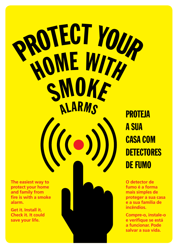# **PROTECT YOUR** HOME WITH SMOKE RARMS PROTEIA

**The easiest way to protect your home and family from fire is with a smoke alarm.** 

**Get it. Install it. Check it. It could save your life.** 

A SUA CASA COM **DETECTORES** DE FUMO

**O detector de fumo é a forma mais simples de proteger a sua casa e a sua família de incêndios.** 

**Compre-o, instale-o e verifique se está a funcionar. Pode salvar a sua vida.**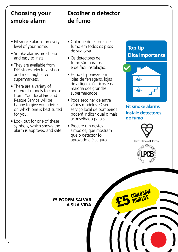### **Choosing your smoke alarm**

- Fit smoke alarms on every level of your home.
- Smoke alarms are cheap and easy to install.
- They are available from DIY stores, electrical shops and most high street supermarkets.
- There are a variety of different models to choose from. Your local Fire and Rescue Service will be happy to give you advice on which one is best suited for you.
- Look out for one of these symbols, which shows the alarm is approved and safe.

• Coloque detectores de fumo em todos os pisos de sua casa.

**Escolher o detector** 

**de fumo**

- Os detectores de fumo são baratos e de fácil instalação.
- Estão disponíveis em lojas de ferragens, lojas de artigos eléctricos e na maioria dos grandes supermercados.
- Pode escolher de entre vários modelos. O seu serviço local de bombeiros poderá indicar qual o mais aconselhado para si.
- Procure um destes símbolos, que mostram que o detector foi aprovado e é seguro.

# **Top tip Dica importante**



#### **Fit smoke alarms Instale detectores de fumo**



British Standard Kitemark



**COULDSAVE YOUR LIFE** 

#### **£5 PODEM SALVAR A SUA VIDA**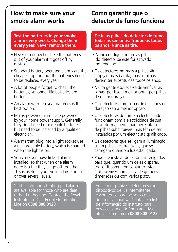# **How to make sure your smoke alarm works**

#### **Test the batteries in your smoke alarm every week. Change them every year. Never remove them.**

- Never disconnect or take the batteries out of your alarm if it goes off by mistake.
- Standard battery operated alarms are the cheapest option, but the batteries need to be replaced every year.
- A lot of people forget to check the batteries, so longer life batteries are better.
- An alarm with ten-year batteries is the best option.
- Mains-powered alarms are powered by your home power supply. Generally they don't need replaceable batteries, but need to be installed by a qualified electrician.
- Alarms that plug into a light socket use a rechargeable battery, which is charged when the light is on.
- You can even have linked alarms installed, so that when one alarm detects a fire they all go off together. This is useful if you live in a large house or over several levels.

Strobe light and vibrating-pad alarms are available for those who are deaf or hard of hearing. Contact the Royal Institute for Deaf People Information Line on **0808 808 0123**

# **Como garantir que o detector de fumo funciona**

 **Teste as pilhas do detector de fumo todas as semanas. Troque-as todos os anos. Nunca as tire.**

- Nunca desligue ou tire as pilhas do detector se este for activado por engano.
- Os detectores normais a pilhas são a opção mais barata, mas as pilhas devem ser substituídas todos os anos.
- Muita gente esquece-se de verificar as pilhas, por isso é melhor optar por pilhas de maior duração.
- Os detectores com pilhas de dez anos de duração são a melhor opção.
- Os detectores de fumo a electricidade funcionam com a electricidade de sua casa. Normalmente não necessitam de pilhas substituíveis, mas têm de ser instalados por um electricista qualificado.
- Os detectores que se ligam à iluminação usam pilhas recarregáveis, que se carregam quando a luz está ligada.
- Pode até instalar detectores interligados para que, quando um deles disparar, todos disparem em conjunto. Isto é útil se viver numa casa de grandes dimensões ou com vários pisos.

Existem disponíveis detectores com dispositivos de luz intermitente e vibratórios para pessoas com deficiência auditiva. Contacte a linha de informação do Instituto para pessoas com deficiência auditiva através do número **0808 808 0123**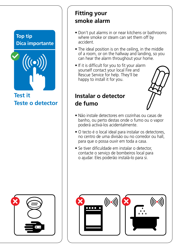### **Top tip Dica importante**



**Test it Teste o detector**



# **Fitting your smoke alarm**

- Don't put alarms in or near kitchens or bathrooms where smoke or steam can set them off by accident.
- The ideal position is on the ceiling, in the middle of a room, or on the hallway and landing, so you can hear the alarm throughout your home.
- If it is difficult for you to fit your alarm yourself contact your local Fire and Rescue Service for help. They'll be happy to install it for you.

# **Instalar o detector de fumo**

- Não instale detectores em cozinhas ou casas de banho, ou perto destas onde o fumo ou o vapor poderá activá-los acidentalmente.
- O tecto é o local ideal para instalar os detectores, no centro de uma divisão ou no corredor ou hall, para que o possa ouvir em toda a casa.
- Se tiver dificuldade em instalar o detector, contacte o serviço de bombeiros local para o ajudar. Eles poderão instalá-lo para si.

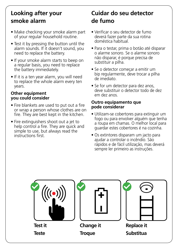# **Looking after your smoke alarm**

- Make checking your smoke alarm part of your regular household routine.
- Test it by pressing the button until the alarm sounds. If it doesn't sound, you need to replace the battery.
- If your smoke alarm starts to beep on a regular basis, you need to replace the battery immediately.
- If it is a ten year alarm, you will need to replace the whole alarm every ten years.

#### **Other equipment you could consider**

- Fire blankets are used to put out a fire or wrap a person whose clothes are on fire. They are best kept in the kitchen.
- Fire extinguishers shoot out a jet to help control a fire. They are quick and simple to use, but always read the instructions first.

# **Cuidar do seu detector de fumo**

- Verificar o seu detector de fumo deverá fazer parte da sua rotina doméstica habitual.
- Para o testar, prima o botão até disparar o alarme sonoro. Se o alarme sonoro não disparar, é porque precisa de substituir a pilha.
- Se o detector começar a emitir um bip regularmente, deve trocar a pilha de imediato.
- Se for um detector para dez anos, deve substituir o detector todo de dez em dez anos.

#### **Outro equipamento que pode considerar**

- Utilizam-se cobertores para extinguir um fogo ou para envolver alguém que tenha a roupa em chamas. O melhor local para guardar estes cobertores é na cozinha.
- Os extintores disparam um jacto para ajudar a controlar o incêndio. São rápidos e de fácil utilização, mas deverá sempre ler primeiro as instruções.

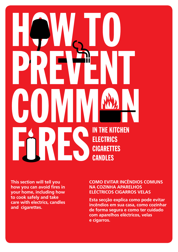# IN THE KITCHEN **ELECTRICS** CIGARETTES **CANDLES**

**This section will tell you how you can avoid fires in your home, including how to cook safely and take care with electrics, candles and cigarettes.**

**COMO EVITAR INCÊNDIOS COMUNS NA COZINHA APARELHOS ELÉCTRICOS CIGARROS VELAS**

**Esta secção explica como pode evitar incêndios em sua casa, como cozinhar de forma segura e como ter cuidado com aparelhos eléctricos, velas e cigarros.**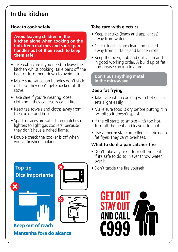# **In the kitchen**

#### **How to cook safely**

**Avoid leaving children in the kitchen alone when cooking on the hob. Keep matches and sauce pan handles out of their reach to keep them safe.**

- Take extra care if you need to leave the kitchen whilst cooking, take pans off the heat or turn them down to avoid risk.
- Make sure saucepan handles don't stick out – so they don't get knocked off the stove.
- Take care if you're wearing loose clothing – they can easily catch fire.
- Keep tea towels and cloths away from the cooker and hob.
- Spark devices are safer than matches or lighters to light gas cookers, because they don't have a naked flame.
- Double check the cooker is off when you've finished cooking

# **Top tip Dica importante Top tip**

**Keep out of reach Mantenha fora do alcance**

#### **Take care with electrics**

- Keep electrics (leads and appliances) away from water.
- Check toasters are clean and placed away from curtains and kitchen rolls.
- Keep the oven, hob and grill clean and in good working order. A build up of fat and grease can ignite a fire.

**Don't put anything metal in the microwave**

#### **Deep fat frying**

- Take care when cooking with hot oil it sets alight easily.
- Make sure food is dry before putting it in hot oil so it doesn't splash.
- If the oil starts to smoke it's too hot. Turn off the heat and leave it to cool.
- Use a thermostat controlled electric deep fat fryer. They can't overheat.

#### **What to do if a pan catches fire**

- Don't take any risks. Turn off the heat if it's safe to do so. Never throw water over it.
- Don't tackle the fire yourself.

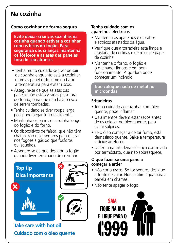### **Na cozinha**

#### **Como cozinhar de forma segura**

**Evite deixar crianças sozinhas na cozinha quando estiver a cozinhar com os bicos do fogão. Para segurança das crianças, mantenha os fósforos e as asas das panelas fora do seu alcance.**

- Tenha muito cuidado se tiver de sair da cozinha enquanto está a cozinhar, retire as panelas do lume ou baixe a temperatura para evitar riscos.
- Assegure-se de que as asas das panelas não estão viradas para fora do fogão, para que não haja o risco de serem tombadas.
- Tenha cuidado se tiver roupa larga, pois pode pegar fogo facilmente.
- Mantenha os panos de cozinha longe do fogão e do forno.
- Os dispositivos de faísca, que não têm chama, são mais seguros para utilizar nos fogões a gás do que fósforos ou isqueiros.
- Assegure-se de que desligou o fogão quando tiver terminado de cozinhar.



**Take care with hot oil Cuidado com o óleo quente**

#### **Tenha cuidado com os aparelhos eléctricos**

- Mantenha os aparelhos e os cabos eléctricos afastados da água.
- Verifique que a torradeira está limpa e afastada de cortinas e de rolos de papel de cozinha.
- Mantenha o forno, o fogão e o grelhador limpos e em bom funcionamento. A gordura pode começar um incêndio.

#### **Não coloque nada de metal no microondas**

#### **Fritadeiras**

- Tenha cuidado ao cozinhar com óleo quente, pode inflamar.
- Os alimentos devem estar secos antes de os colocar no óleo quente, para evitar salpicos.
- Se o óleo começar a deitar fumo, está demasiado quente. Baixe a temperatura e deixe arrefecer.
- Utilize uma fritadeira eléctrica controlada por termóstato, que não sobreaquece.

#### **O que fazer se uma panela começar a arder**

- Não corra riscos. Se for seguro, desligue a fonte de calor. Nunca atire água para a panela em chamas.
- Não tente apagar o fogo.

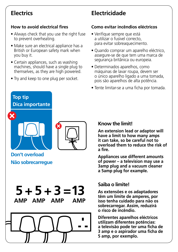# **Electrics**

#### **How to avoid electrical fires**

- Always check that you use the right fuse to prevent overheating.
- Make sure an electrical appliance has a British or European safety mark when you buy it.
- Certain appliances, such as washing machines, should have a single plug to themselves, as they are high powered.
- Try and keep to one plug per socket.

# **Electricidade**

#### **Como evitar incêndios eléctricos**

- Verifique sempre que está a utilizar o fusível correcto, para evitar sobreaquecimento.
- Quando comprar um aparelho eléctrico, assegure-se de que tem uma marca de segurança britânica ou europeia.
- Determinados aparelhos, como máquinas de lavar roupa, devem ser o único aparelho ligado a uma tomada, pois são aparelhos de alta potência.
- Tente limitar-se a uma ficha por tomada.







**Don't overload Não sobrecarregue**

# **5 + 5 + 3 =13 AMP AMP AMP AMP**



### **Know the limit!**

**An extension lead or adaptor will have a limit to how many amps it can take, so be careful not to overload them to reduce the risk of a fire.**

**Appliances use different amounts of power – a television may use a 3amp plug and a vacuum cleaner a 5amp plug for example.**

### **Saiba o limite!**

**As extensões e os adaptadores têm um limite de amperes, por isso tenha cuidado para não os sobrecarregar. Assim, reduzirá o risco de incêndio.**

**Diferentes aparelhos eléctricos utilizam diferentes potências: a televisão pode ter uma ficha de 3 amp e o aspirador uma ficha de 5 amp, por exemplo.**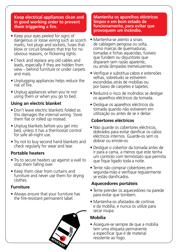#### **Keep electrical appliances clean and in good working order to prevent them triggering a fire.**

- Keep your eyes peeled for signs of dangerous or loose wiring such as scorch marks, hot plugs and sockets, fuses that blow or circuit-breakers that trip for no obvious reasons, or flickering lights.
- Check and replace any old cables and leads, especially if they are hidden from view – behind furniture or under carpets and mats.
- Unplugging appliances helps reduce the risk of fire.
- Unplug appliances when you're not using them or when you go to bed.

#### **Using an electric blanket**

- Don't leave electric blankets folded as this damages the internal wiring. Store them flat or rolled up instead.
- Unplug blankets before you get into bed, unless it has a thermostat control for safe all-night use.
- Try not to buy second hand blankets and check regularly for wear and tear.

#### **Portable heaters**

- Try to secure heaters up against a wall to stop them falling over.
- Keep them clear from curtains and furniture and never use them for drying clothes.

#### **Furniture**

• Always ensure that your furniture has the fire-resistant permanent label.



#### **Mantenha os aparelhos eléctricos limpos e em bom estado de funcionamento, para evitar que provoquem um incêndio.**

- Mantenha-se atento a sinais de cablagem perigosa ou solta, como marcas de queimaduras, tomadas e fichas aquecidas, fusíveis que fundem ou disjuntores que disparam sem razão aparente, ou ainda lâmpadas tremeluzentes.
- Verifique e substitua cabos e extensões velhas, sobretudo se estiverem escondidas atrás de mobílias ou por baixo de carpetes e tapetes.
- Reduzirá o risco de incêndios se desligar os aparelhos eléctricos da tomada.
- Desligue os aparelhos eléctricos da tomada quando não estiverem em utilização ou antes de se ir deitar.

#### **Cobertores eléctricos**

- Não guarde os cobertores eléctricos, dobrados para evitar danificar os cabos eléctricos internos. Guarde-os sem os dobrar ou enrole-os.
- Desligue o cobertor da tomada antes de ir para a cama, a menos que este tenha um controlo com termóstato que permita que fique ligado toda a noite.
- Tente não comprar cobertores em segunda-mão e verifique regularmente se estão danificados.

#### **Aquecedores portáteis**

- Tente prender os aquecedores na parede para evitar que tombem.
- Mantenha-os afastados de cortinas e da mobília, e nunca os utilize para secar roupa.

#### **Mobília**

• Assegure-se sempre de que a mobília tem uma etiqueta permanente a especificar que é de material resistente ao fogo.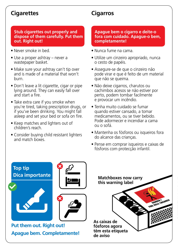# **Cigarettes**

#### **Stub cigarettes out properly and dispose of them carefully. Put them out. Right out!**

- Never smoke in bed.
- Use a proper ashtray never a wastepaper basket.
- Make sure your ashtray can't tip over and is made of a material that won't burn.
- Don't leave a lit cigarette, cigar or pipe lying around. They can easily fall over and start a fire.
- Take extra care if you smoke when you're tired, taking prescription drugs, or if you've been drinking. You might fall asleep and set your bed or sofa on fire.
- Keep matches and lighters out of children's reach.
- Consider buying child resistant lighters and match boxes.

#### **Apague bem o cigarro e deite-o fora com cuidado. Apague-o bem, completamente!**

• Nunca fume na cama.

**Cigarros** 

- Utilize um cinzeiro apropriado, nunca o cesto de papéis.
- Assegure-se de que o cinzeiro não pode virar e que é feito de um material que não se queima.
- Não deixe cigarros, charutos ou cachimbos acesos se não estiver por perto, podem tombar facilmente e provocar um incêndio.
- Tenha muito cuidado se fumar quando estiver cansado, a tomar medicamentos, ou se tiver bebido. Pode adormecer e incendiar a cama ou o sofá.
- Mantenha os fósforos ou isqueiros fora do alcance das crianças.
- Pense em comprar isqueiros e caixas de fósforos com protecção infantil.

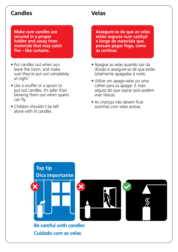### **Candles**

 **Make sure candles are secured in a proper holder and away from materials that may catch fire – like curtains.** 

- Put candles out when you leave the room, and make sure they're put out completely at night.
- Use a snuffer or a spoon to put out candles. It's safer than blowing them out when sparks can fly.
- Children shouldn't be left alone with lit candles.

**Velas**

**Assegure-se de que as velas estão seguras num castiçal e longe de materiais que possam pegar fogo, como as cortinas.** 

- Apague as velas quando sair da divisão e assegure-se de que estão totalmente apagadas à noite.
- Utilize um apaga-velas ou uma colher para as apagar. É mais seguro do que soprar pois podem voar faíscas.
- As crianças não devem ficar sozinhas com velas acesas.

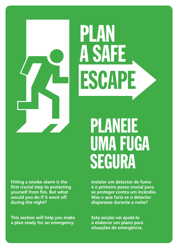

# ESCAPE PLAN A SAFE

PLANEIE UMA FUGA **SEGURA** 

**Fitting a smoke alarm is the first crucial step to protecting yourself from fire. But what would you do if it went off during the night?** 

**This section will help you make a plan ready for an emergency.** 

**Instalar um detector de fumo é o primeiro passo crucial para se proteger contra um incêndio. Mas o que faria se o detector disparasse durante a noite?** 

**Esta secção vai ajudá-lo a elaborar um plano para situações de emergência.**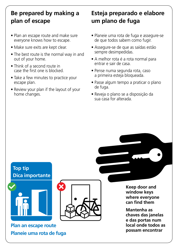# **Be prepared by making a plan of escape**

- Plan an escape route and make sure everyone knows how to escape.
- Make sure exits are kept clear.
- The best route is the normal way in and out of your home.
- Think of a second route in case the first one is blocked.
- Take a few minutes to practice your escape plan.
- Review your plan if the layout of your home changes.

# **Esteja preparado e elabore um plano de fuga**

- Planeie uma rota de fuga e assegure-se de que todos sabem como fugir.
- Assegure-se de que as saídas estão sempre desimpedidas.
- A melhor rota é a rota normal para entrar e sair de casa.
- Pense numa segunda rota, caso a primeira esteja bloqueada.
- Passe algum tempo a praticar o plano de fuga.
- Reveja o plano se a disposição da sua casa for alterada.

**Top tip Dica importante**

**Plan an escape route**

**Planeie uma rota de fuga**



**Keep door and window keys where everyone can find them**

**Mantenha as chaves das janelas e das portas num local onde todos as possam encontrar**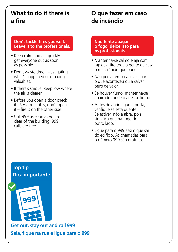# **What to do if there is a fire**

#### **Don't tackle fires yourself. Leave it to the professionals.**

- Keep calm and act quickly, get everyone out as soon as possible.
- Don't waste time investigating what's happened or rescuing valuables.
- If there's smoke, keep low where the air is clearer.
- Before you open a door check if it's warm. If it is, don't open it – fire is on the other side.
- Call 999 as soon as you're clear of the building. 999 calls are free.

# **O que fazer em caso de incêndio**

#### **Não tente apagar o fogo, deixe isso para os profissionais.**

- Mantenha-se calmo e aja com rapidez, tire toda a gente de casa o mais rápido que puder.
- Não perca tempo a investigar o que aconteceu ou a salvar bens de valor.
- Se houver fumo, mantenha-se abaixado, onde o ar está limpo.
- Antes de abrir alguma porta, verifique se está quente. Se estiver, não a abra, pois significa que há fogo do outro lado.
- Ligue para o 999 assim que sair do edifício. As chamadas para o número 999 são gratuitas.

**Top tip Dica importante**



**Get out, stay out and call 999 Saia, fique na rua e ligue para o 999**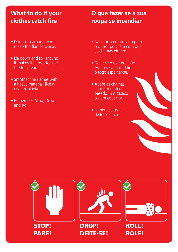# **What to do if your clothes catch fire**

- Don't run around, you'll make the flames worse.
- Lie down and roll around. It makes it harder for the fire to spread.
- Smother the flames with a heavy material, like a coat or blanket.
- Remember, Stop, Drop and Roll!

# **O que fazer se a sua roupa se incendiar**

- Não corra de um lado para o outro, pois fará com que as chamas piorem.
- Deite-se e role no chão. Assim será mais difícil o fogo espalhar-se.
- Abafe as chamas com um material pesado, um casaco ou um cobertor.
- Lembre-se: pare, deite-se e role!

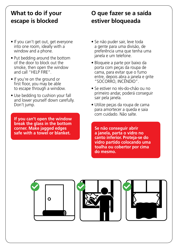# **What to do if your escape is blocked**

- If you can't get out, get everyone into one room, ideally with a window and a phone.
- Put bedding around the bottom of the door to block out the smoke, then open the window and call "HELP FIRE".
- If you're on the ground or first floor, you may be able to escape through a window.

• Use bedding to cushion your fall and lower yourself down carefully. Don't jump.

**If you can't open the window break the glass in the bottom corner. Make jagged edges safe with a towel or blanket.**

# **O que fazer se a saída estiver bloqueada**

- Se não puder sair, leve toda a gente para uma divisão, de preferência uma que tenha uma janela e um telefone.
- Bloqueie a parte por baixo da porta com peças da roupa de cama, para evitar que o fumo entre, depois abra a janela e grite "SOCORRO, INCÊNDIO".
- Se estiver no rés-do-chão ou no primeiro andar, poderá conseguir sair pela janela.
- Utilize peças da roupa de cama para amortecer a queda e saia com cuidado. Não salte.

 **Se não conseguir abrir a janela, parta o vidro no canto inferior. Proteja-se do vidro partido colocando uma toalha ou cobertor por cima do mesmo.**

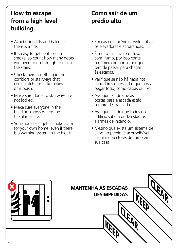# **How to escape from a high level building**

- Avoid using lifts and balconies if there is a fire.
- It is easy to get confused in smoke, so count how many doors you need to go through to reach the stairs.
- Check there is nothing in the corridors or stairways that could catch fire – like boxes or rubbish.
- Make sure doors to stairways are not locked.
- Make sure everyone in the building knows where the fire alarms are.
- You should still get a smoke alarm for your own home, even if there is a warning system in the block.

# **Como sair de um prédio alto**

- Em caso de incêndio, evite utilizar os elevadores e as varandas.
- É muito fácil ficar confuso com fumo, por isso conte o número de portas por que tem de passar para chegar às escadas.
- Verifique se não há nada nos corredores ou escadas que possa pegar fogo, como caixas ou lixo.
- Assegure-se de que as portas para a escada estão sempre destrancadas.
- Assegure-se de que todos no edifício sabem onde estão os alarmes de incêndio.
- Mesmo que exista um sistema de aviso no prédio, é aconselhável instalar detectores de fumo em sua casa.

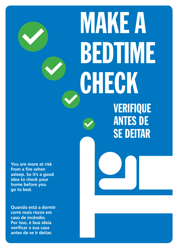# MAKE A BEDTIME CHECK

**VERIFIQUE** ANTES DE SE DEITAR

**You are more at risk from a fire when asleep. So it's a good idea to check your home before you go to bed.**

**Quando está a dormir corre mais riscos em caso de incêndio. Por isso, é boa ideia verificar a sua casa antes de se ir deitar.**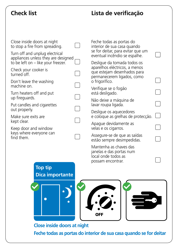# **Check list**

# **Lista de verificação**

| Close inside doors at night<br>to stop a fire from spreading.<br>Turn off and unplug electrical<br>appliances unless they are designed<br>to be left on - like your freezer. |  | Feche todas as portas do<br>interior de sua casa quando<br>se for deitar, para evitar que um<br>eventual incêndio se espalhe.<br>Desligue da tomada todos os<br>aparelhos eléctricos, a menos |  |
|------------------------------------------------------------------------------------------------------------------------------------------------------------------------------|--|-----------------------------------------------------------------------------------------------------------------------------------------------------------------------------------------------|--|
| Check your cooker is<br>turned off.<br>Don't leave the washing                                                                                                               |  | que estejam desenhados para<br>permanecerem ligados, como<br>o frigorífico.                                                                                                                   |  |
| machine on.<br>Turn heaters off and put<br>up fireguards.                                                                                                                    |  | Verifique se o fogão<br>está desligado.                                                                                                                                                       |  |
| Put candles and cigarettes<br>out properly.                                                                                                                                  |  | Não deixe a máquina de<br>lavar roupa ligada.                                                                                                                                                 |  |
| Make sure exits are<br>kept clear.<br>Keep door and window<br>keys where everyone can<br>find them.                                                                          |  | Desligue os aquecedores<br>e coloque as grelhas de protecção.                                                                                                                                 |  |
|                                                                                                                                                                              |  | Apague devidamente as<br>velas e os cigarros.                                                                                                                                                 |  |
|                                                                                                                                                                              |  | Assegure-se de que as saídas<br>estão sempre desimpedidas.                                                                                                                                    |  |
|                                                                                                                                                                              |  | Mantenha as chaves das<br>janelas e das portas num<br>local onde todos as<br>possam encontrar.                                                                                                |  |
| <b>Top tip</b>                                                                                                                                                               |  |                                                                                                                                                                                               |  |
| <b>Dica importante</b>                                                                                                                                                       |  |                                                                                                                                                                                               |  |
|                                                                                                                                                                              |  | <b>OFF</b>                                                                                                                                                                                    |  |
| <b>Close inside doors at night</b>                                                                                                                                           |  |                                                                                                                                                                                               |  |
|                                                                                                                                                                              |  | Feche todas as portas do interior de sua casa quando se for deitar                                                                                                                            |  |